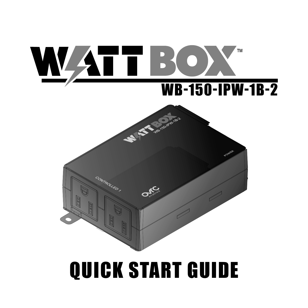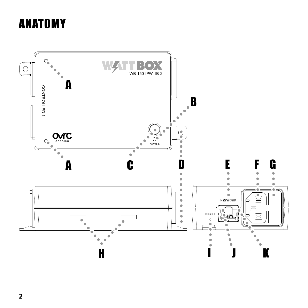# ANATOMY

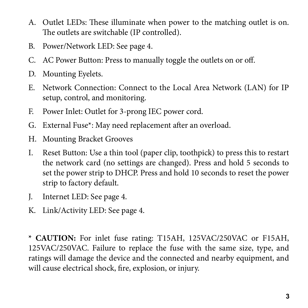- A. Outlet LEDs: These illuminate when power to the matching outlet is on. The outlets are switchable (IP controlled).
- B. Power/Network LED: See page 4.
- C. AC Power Button: Press to manually toggle the outlets on or off.
- D. Mounting Eyelets.
- E. Network Connection: Connect to the Local Area Network (LAN) for IP setup, control, and monitoring.
- F. Power Inlet: Outlet for 3-prong IEC power cord.
- G. External Fuse\*: May need replacement after an overload.
- H. Mounting Bracket Grooves
- I. Reset Button: Use a thin tool (paper clip, toothpick) to press this to restart the network card (no settings are changed). Press and hold 5 seconds to set the power strip to DHCP. Press and hold 10 seconds to reset the power strip to factory default.
- J. Internet LED: See page 4.
- K. Link/Activity LED: See page 4.

**\* CAUTION:** For inlet fuse rating: T15AH, 125VAC/250VAC or F15AH, 125VAC/250VAC. Failure to replace the fuse with the same size, type, and ratings will damage the device and the connected and nearby equipment, and will cause electrical shock, fire, explosion, or injury.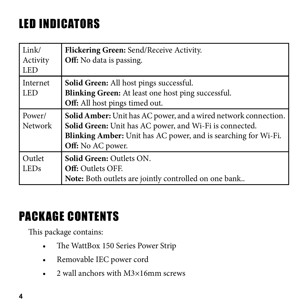# LED INDICATORS

| Link/<br>Activity<br><b>LED</b> | Flickering Green: Send/Receive Activity.<br>Off: No data is passing.                                                                                                                                              |
|---------------------------------|-------------------------------------------------------------------------------------------------------------------------------------------------------------------------------------------------------------------|
| Internet<br><b>LED</b>          | Solid Green: All host pings successful.<br>Blinking Green: At least one host ping successful.<br>Off: All host pings timed out.                                                                                   |
| Power/<br><b>Network</b>        | Solid Amber: Unit has AC power, and a wired network connection.<br>Solid Green: Unit has AC power, and Wi-Fi is connected.<br>Blinking Amber: Unit has AC power, and is searching for Wi-Fi.<br>Off: No AC power. |
| Outlet<br><b>LEDs</b>           | <b>Solid Green: Outlets ON.</b><br><b>Off: Outlets OFF.</b><br>Note: Both outlets are jointly controlled on one bank                                                                                              |

# PACKAGE CONTENTS

This package contains:

- The WattBox 150 Series Power Strip
- Removable IEC power cord
- 2 wall anchors with M3×16mm screws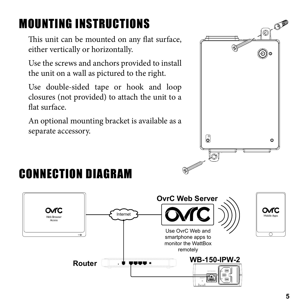# MOUNTING INSTRUCTIONS

This unit can be mounted on any flat surface, either vertically or horizontally.

Use the screws and anchors provided to install the unit on a wall as pictured to the right.

Use double-sided tape or hook and loop closures (not provided) to attach the unit to a flat surface.

An optional mounting bracket is available as a separate accessory.



# CONNECTION DIAGRAM

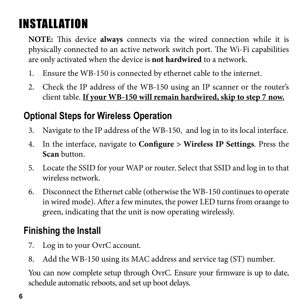# INSTALLATION

**NOTE:** This device **always** connects via the wired connection while it is physically connected to an active network switch port. The Wi-Fi capabilities are only activated when the device is **not hardwired** to a network.

- 1. Ensure the WB-150 is connected by ethernet cable to the internet.
- 2. Check the IP address of the WB-150 using an IP scanner or the router's client table. **If your WB-150 will remain hardwired, skip to step 7 now.**

## **Optional Steps for Wireless Operation**

- 3. Navigate to the IP address of the WB-150, and log in to its local interface.
- 4. In the interface, navigate to **Configure > Wireless IP Settings**. Press the **Scan** button.
- 5. Locate the SSID for your WAP or router. Select that SSID and log in to that wireless network.
- 6. Disconnect the Ethernet cable (otherwise the WB-150 continues to operate in wired mode). After a few minutes, the power LED turns from oraange to green, indicating that the unit is now operating wirelessly.

### **Finishing the Install**

- 7. Log in to your OvrC account.
- 8. Add the WB-150 using its MAC address and service tag (ST) number.

You can now complete setup through OvrC. Ensure your firmware is up to date, schedule automatic reboots, and set up boot delays.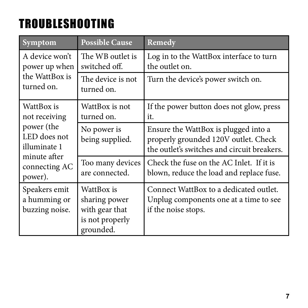# TROUBLESHOOTING

| Symptom                                         | <b>Possible Cause</b>                                                         | Remedy                                                                                                                      |
|-------------------------------------------------|-------------------------------------------------------------------------------|-----------------------------------------------------------------------------------------------------------------------------|
| A device won't<br>power up when                 | The WB outlet is<br>switched off.                                             | Log in to the WattBox interface to turn<br>the outlet on.                                                                   |
| the WattBox is<br>turned on.                    | The device is not<br>turned on.                                               | Turn the device's power switch on.                                                                                          |
| WattBox is<br>not receiving                     | WattBox is not<br>turned on.                                                  | If the power button does not glow, press<br>it.                                                                             |
| power (the<br>LED does not<br>illuminate 1      | No power is<br>being supplied.                                                | Ensure the WattBox is plugged into a<br>properly grounded 120V outlet. Check<br>the outlet's switches and circuit breakers. |
| minute after<br>connecting AC<br>power).        | Too many devices<br>are connected.                                            | Check the fuse on the AC Inlet. If it is<br>blown, reduce the load and replace fuse.                                        |
| Speakers emit<br>a humming or<br>buzzing noise. | WattBox is<br>sharing power<br>with gear that<br>is not properly<br>grounded. | Connect WattBox to a dedicated outlet.<br>Unplug components one at a time to see<br>if the noise stops.                     |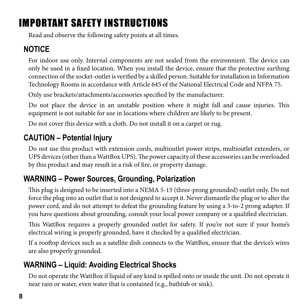## IMPORTANT SAFETY INSTRUCTIONS

Read and observe the following safety points at all times.

### **NOTICE**

For indoor use only. Internal components are not sealed from the environment. The device can only be used in a fixed location. When you install the device, ensure that the protective earthing connection of the socket-outlet is verified by a skilled person. Suitable for installation in Information Technology Rooms in accordance with Article 645 of the National Electrical Code and NFPA 75.

Only use brackets/attachments/accessories specified by the manufacturer.

Do not place the device in an unstable position where it might fall and cause injuries. This equipment is not suitable for use in locations where children are likely to be present.

Do not cover this device with a cloth. Do not install it on a carpet or rug.

### **CAUTION – Potential Injury**

Do not use this product with extension cords, multioutlet power strips, multioutlet extenders, or UPS devices (other than a WattBox UPS). The power capacity of these accessories can be overloaded by this product and may result in a risk of fire, or property damage.

#### **WARNING – Power Sources, Grounding, Polarization**

This plug is designed to be inserted into a NEMA 5-15 (three-prong grounded) outlet only. Do not force the plug into an outlet that is not designed to accept it. Never dismantle the plug or to alter the power cord, and do not attempt to defeat the grounding feature by using a 3-to-2 prong adapter. If you have questions about grounding, consult your local power company or a qualified electrician.

This WattBox requires a properly grounded outlet for safety. If you're not sure if your home's electrical wiring is properly grounded, have it checked by a qualified electrician.

If a rooftop devices such as a satellite dish connects to the WattBox, ensure that the device's wires are also properly grounded.

### **WARNING – Liquid: Avoiding Electrical Shocks**

Do not operate the WattBox if liquid of any kind is spilled onto or inside the unit. Do not operate it near rain or water, even water that is contained (e.g., bathtub or sink).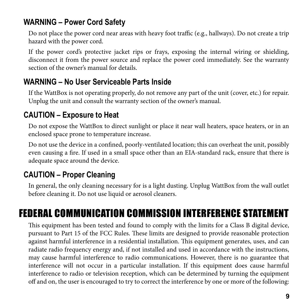#### **WARNING – Power Cord Safety**

Do not place the power cord near areas with heavy foot traffic (e.g., hallways). Do not create a trip hazard with the power cord.

If the power cord's protective jacket rips or frays, exposing the internal wiring or shielding, disconnect it from the power source and replace the power cord immediately. See the warranty section of the owner's manual for details.

#### **WARNING – No User Serviceable Parts Inside**

If the WattBox is not operating properly, do not remove any part of the unit (cover, etc.) for repair. Unplug the unit and consult the warranty section of the owner's manual.

#### **CAUTION – Exposure to Heat**

Do not expose the WattBox to direct sunlight or place it near wall heaters, space heaters, or in an enclosed space prone to temperature increase.

Do not use the device in a confined, poorly-ventilated location; this can overheat the unit, possibly even causing a fire. If used in a small space other than an EIA-standard rack, ensure that there is adequate space around the device.

#### **CAUTION – Proper Cleaning**

In general, the only cleaning necessary for is a light dusting. Unplug WattBox from the wall outlet before cleaning it. Do not use liquid or aerosol cleaners.

## FEDERAL COMMUNICATION COMMISSION INTERFERENCE STATEMENT

This equipment has been tested and found to comply with the limits for a Class B digital device, pursuant to Part 15 of the FCC Rules. These limits are designed to provide reasonable protection against harmful interference in a residential installation. This equipment generates, uses, and can radiate radio frequency energy and, if not installed and used in accordance with the instructions, may cause harmful interference to radio communications. However, there is no guarantee that interference will not occur in a particular installation. If this equipment does cause harmful interference to radio or television reception, which can be determined by turning the equipment off and on, the user is encouraged to try to correct the interference by one or more of the following: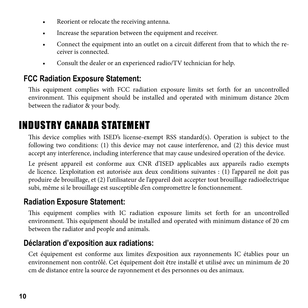- Reorient or relocate the receiving antenna.
- Increase the separation between the equipment and receiver.
- Connect the equipment into an outlet on a circuit different from that to which the receiver is connected.
- Consult the dealer or an experienced radio/TV technician for help.

#### **FCC Radiation Exposure Statement:**

This equipment complies with FCC radiation exposure limits set forth for an uncontrolled environment. This equipment should be installed and operated with minimum distance 20cm between the radiator & your body.

## INDUSTRY CANADA STATEMENT

This device complies with ISED's license-exempt RSS standard(s). Operation is subject to the following two conditions: (1) this device may not cause interference, and (2) this device must accept any interference, including interference that may cause undesired operation of the device.

Le présent appareil est conforme aux CNR d'ISED applicables aux appareils radio exempts de licence. L'exploitation est autorisée aux deux conditions suivantes : (1) l'appareil ne doit pas produire de brouillage, et (2) l'utilisateur de l'appareil doit accepter tout brouillage radioélectrique subi, même si le brouillage est susceptible d'en compromettre le fonctionnement.

#### **Radiation Exposure Statement:**

This equipment complies with IC radiation exposure limits set forth for an uncontrolled environment. This equipment should be installed and operated with minimum distance of 20 cm between the radiator and people and animals.

#### **Déclaration d'exposition aux radiations:**

Cet équipement est conforme aux limites d'exposition aux rayonnements IC établies pour un environnement non contrôlé. Cet équipement doit être installé et utilisé avec un minimum de 20 cm de distance entre la source de rayonnement et des personnes ou des animaux.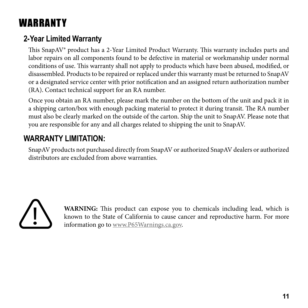## **WARRANTY**

### **2-Year Limited Warranty**

This SnapAV® product has a 2-Year Limited Product Warranty. This warranty includes parts and labor repairs on all components found to be defective in material or workmanship under normal conditions of use. This warranty shall not apply to products which have been abused, modified, or disassembled. Products to be repaired or replaced under this warranty must be returned to SnapAV or a designated service center with prior notification and an assigned return authorization number (RA). Contact technical support for an RA number.

Once you obtain an RA number, please mark the number on the bottom of the unit and pack it in a shipping carton/box with enough packing material to protect it during transit. The RA number must also be clearly marked on the outside of the carton. Ship the unit to SnapAV. Please note that you are responsible for any and all charges related to shipping the unit to SnapAV.

### **WARRANTY LIMITATION:**

SnapAV products not purchased directly from SnapAV or authorized SnapAV dealers or authorized distributors are excluded from above warranties.



**WARNING:** This product can expose you to chemicals including lead, which is known to the State of California to cause cancer and reproductive harm. For more information go to www.P65Warnings.ca.gov.